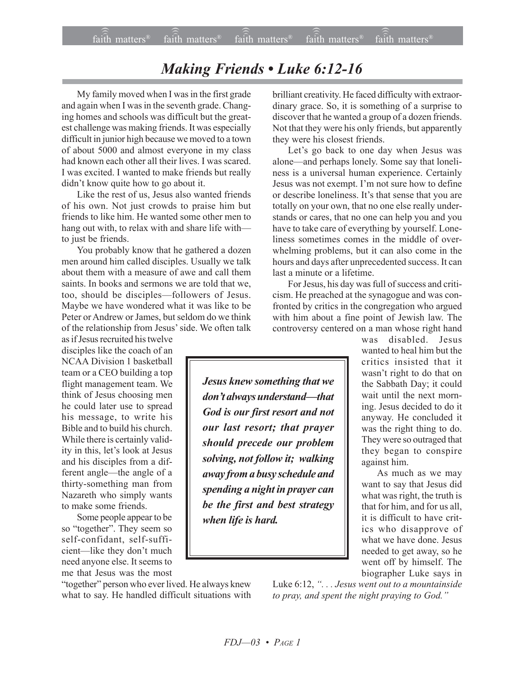## *Making Friends • Luke 6:12-16*

My family moved when I was in the first grade and again when I was in the seventh grade. Changing homes and schools was difficult but the greatest challenge was making friends. It was especially difficult in junior high because we moved to a town of about 5000 and almost everyone in my class had known each other all their lives. I was scared. I was excited. I wanted to make friends but really didn't know quite how to go about it.

Like the rest of us, Jesus also wanted friends of his own. Not just crowds to praise him but friends to like him. He wanted some other men to hang out with, to relax with and share life with to just be friends.

You probably know that he gathered a dozen men around him called disciples. Usually we talk about them with a measure of awe and call them saints. In books and sermons we are told that we, too, should be disciples—followers of Jesus. Maybe we have wondered what it was like to be Peter or Andrew or James, but seldom do we think of the relationship from Jesus' side. We often talk

as if Jesus recruited his twelve disciples like the coach of an NCAA Division 1 basketball team or a CEO building a top flight management team. We think of Jesus choosing men he could later use to spread his message, to write his Bible and to build his church. While there is certainly validity in this, let's look at Jesus and his disciples from a different angle—the angle of a thirty-something man from Nazareth who simply wants to make some friends.

Some people appear to be so "together". They seem so self-confidant, self-sufficient-like they don't much need anyone else. It seems to me that Jesus was the most

"together" person who ever lived. He always knew what to say. He handled difficult situations with brilliant creativity. He faced difficulty with extraordinary grace. So, it is something of a surprise to discover that he wanted a group of a dozen friends. Not that they were his only friends, but apparently they were his closest friends.

Let's go back to one day when Jesus was alone—and perhaps lonely. Some say that loneliness is a universal human experience. Certainly Jesus was not exempt. I'm not sure how to define or describe loneliness. It's that sense that you are totally on your own, that no one else really understands or cares, that no one can help you and you have to take care of everything by yourself. Loneliness sometimes comes in the middle of overwhelming problems, but it can also come in the hours and days after unprecedented success. It can last a minute or a lifetime.

For Jesus, his day was full of success and criticism. He preached at the synagogue and was confronted by critics in the congregation who argued with him about a fine point of Jewish law. The controversy centered on a man whose right hand

was disabled. Jesus wanted to heal him but the critics insisted that it wasn't right to do that on the Sabbath Day; it could wait until the next morning. Jesus decided to do it anyway. He concluded it was the right thing to do. They were so outraged that they began to conspire against him.

As much as we may want to say that Jesus did what was right, the truth is that for him, and for us all, it is difficult to have critics who disapprove of what we have done. Jesus needed to get away, so he went off by himself. The biographer Luke says in

Luke 6:12, "... Jesus went out to a mountainside to pray, and spent the night praying to God.<sup>"</sup>

*Jesus knew something that we don't always understand—that God is our first resort and not our last resort; that prayer should precede our problem solving, not follow it; walking away from a busy schedule and spending a night in prayer can be the first and best strategy when life is hard.*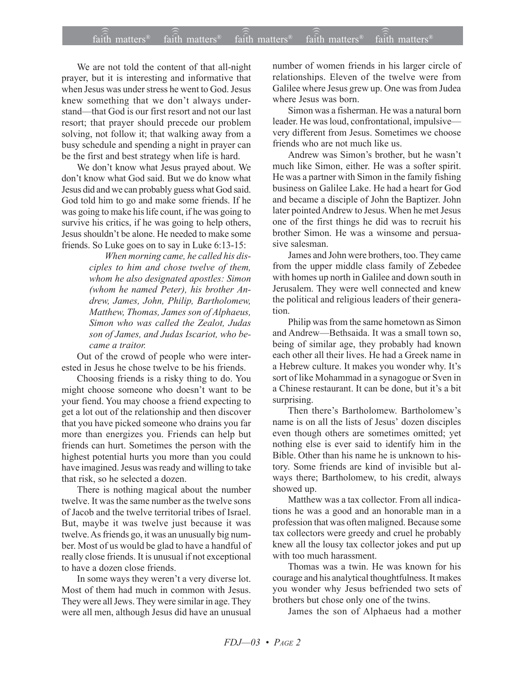## $\widehat{\widehat{\mathfrak{tair}}}$  matters  $^{\circ}$  faith matters faith matters  $^{\circ}$  faith matters faith matters  $^{\circ}$  $fa$  $\overline{i}$  $\overline{ih}$  matters<sup>®</sup> faith matters<sup>®</sup> faith matters<sup>®</sup>

We are not told the content of that all-night prayer, but it is interesting and informative that when Jesus was under stress he went to God. Jesus knew something that we don't always understand-that God is our first resort and not our last resort; that prayer should precede our problem solving, not follow it; that walking away from a busy schedule and spending a night in prayer can be the first and best strategy when life is hard.

We don't know what Jesus prayed about. We don't know what God said. But we do know what Jesus did and we can probably guess what God said. God told him to go and make some friends. If he was going to make his life count, if he was going to survive his critics, if he was going to help others, Jesus shouldn't be alone. He needed to make some friends. So Luke goes on to say in Luke 6:13-15:

> *When morning came, he called his disciples to him and chose twelve of them, whom he also designated apostles: Simon (whom he named Peter), his brother Andrew, James, John, Philip, Bartholomew, Matthew, Thomas, James son of Alphaeus, Simon who was called the Zealot, Judas son of James, and Judas Iscariot, who became a traitor.*

Out of the crowd of people who were interested in Jesus he chose twelve to be his friends.

Choosing friends is a risky thing to do. You might choose someone who doesn't want to be your fiend. You may choose a friend expecting to get a lot out of the relationship and then discover that you have picked someone who drains you far more than energizes you. Friends can help but friends can hurt. Sometimes the person with the highest potential hurts you more than you could have imagined. Jesus was ready and willing to take that risk, so he selected a dozen.

There is nothing magical about the number twelve. It was the same number as the twelve sons of Jacob and the twelve territorial tribes of Israel. But, maybe it was twelve just because it was twelve. As friends go, it was an unusually big number. Most of us would be glad to have a handful of really close friends. It is unusual if not exceptional to have a dozen close friends.

In some ways they weren't a very diverse lot. Most of them had much in common with Jesus. They were all Jews. They were similar in age. They were all men, although Jesus did have an unusual number of women friends in his larger circle of relationships. Eleven of the twelve were from Galilee where Jesus grew up. One was from Judea where Jesus was born.

Simon was a fisherman. He was a natural born leader. He was loud, confrontational, impulsive very different from Jesus. Sometimes we choose friends who are not much like us.

Andrew was Simon's brother, but he wasn't much like Simon, either. He was a softer spirit. He was a partner with Simon in the family fishing business on Galilee Lake. He had a heart for God and became a disciple of John the Baptizer. John later pointed Andrew to Jesus. When he met Jesus one of the first things he did was to recruit his brother Simon. He was a winsome and persuasive salesman.

James and John were brothers, too. They came from the upper middle class family of Zebedee with homes up north in Galilee and down south in Jerusalem. They were well connected and knew the political and religious leaders of their generation.

Philip was from the same hometown as Simon and Andrew—Bethsaida. It was a small town so, being of similar age, they probably had known each other all their lives. He had a Greek name in a Hebrew culture. It makes you wonder why. It's sort of like Mohammad in a synagogue or Sven in a Chinese restaurant. It can be done, but it's a bit surprising.

Then there's Bartholomew. Bartholomew's name is on all the lists of Jesus' dozen disciples even though others are sometimes omitted; yet nothing else is ever said to identify him in the Bible. Other than his name he is unknown to history. Some friends are kind of invisible but always there; Bartholomew, to his credit, always showed up.

Matthew was a tax collector. From all indications he was a good and an honorable man in a profession that was often maligned. Because some tax collectors were greedy and cruel he probably knew all the lousy tax collector jokes and put up with too much harassment.

Thomas was a twin. He was known for his courage and his analytical thoughtfulness. It makes you wonder why Jesus befriended two sets of brothers but chose only one of the twins.

James the son of Alphaeus had a mother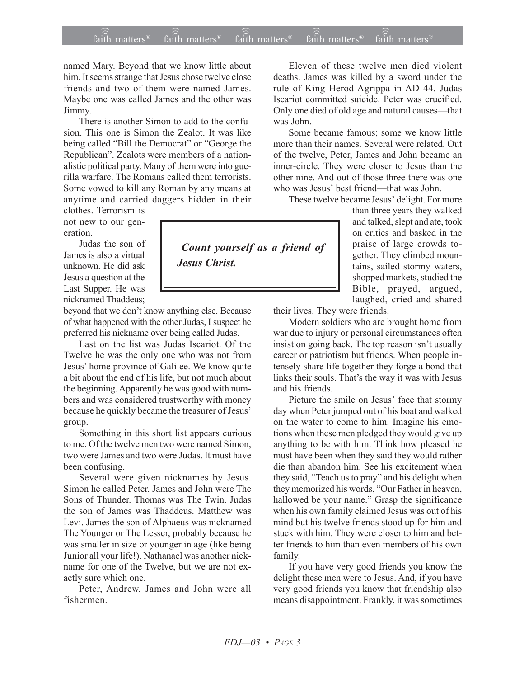## $\widehat{\widehat{\mathfrak{tair}}}$  matters  $^{\circ}$  faith matters faith matters  $^{\circ}$  faith matters faith matters  $^{\circ}$  $f$ aith matters<sup>®</sup>  $f$ aith matters<sup>®</sup>  $\widehat{\text{fair}}$ h matters<sup>®</sup>

named Mary. Beyond that we know little about him. It seems strange that Jesus chose twelve close friends and two of them were named James. Maybe one was called James and the other was Jimmy.

There is another Simon to add to the confusion. This one is Simon the Zealot. It was like being called "Bill the Democrat" or "George the Republican". Zealots were members of a nationalistic political party. Many of them were into guerilla warfare. The Romans called them terrorists. Some vowed to kill any Roman by any means at anytime and carried daggers hidden in their

clothes. Terrorism is not new to our generation.

Judas the son of James is also a virtual unknown. He did ask Jesus a question at the Last Supper. He was nicknamed Thaddeus;

beyond that we don't know anything else. Because of what happened with the other Judas, I suspect he preferred his nickname over being called Judas.

Last on the list was Judas Iscariot. Of the Twelve he was the only one who was not from Jesus' home province of Galilee. We know quite a bit about the end of his life, but not much about the beginning. Apparently he was good with numbers and was considered trustworthy with money because he quickly became the treasurer of Jesus' group.

Something in this short list appears curious to me. Of the twelve men two were named Simon, two were James and two were Judas. It must have been confusing.

Several were given nicknames by Jesus. Simon he called Peter. James and John were The Sons of Thunder. Thomas was The Twin. Judas the son of James was Thaddeus. Matthew was Levi. James the son of Alphaeus was nicknamed The Younger or The Lesser, probably because he was smaller in size or younger in age (like being Junior all your life!). Nathanael was another nickname for one of the Twelve, but we are not exactly sure which one.

Peter, Andrew, James and John were all fishermen.

Eleven of these twelve men died violent deaths. James was killed by a sword under the rule of King Herod Agrippa in AD 44. Judas Iscariot committed suicide. Peter was crucified. Only one died of old age and natural causes—that was John.

Some became famous; some we know little more than their names. Several were related. Out of the twelve, Peter, James and John became an inner-circle. They were closer to Jesus than the other nine. And out of those three there was one who was Jesus' best friend—that was John.

These twelve became Jesus' delight. For more

than three years they walked and talked, slept and ate, took on critics and basked in the praise of large crowds together. They climbed mountains, sailed stormy waters, shopped markets, studied the Bible, prayed, argued, laughed, cried and shared

their lives. They were friends.

Modern soldiers who are brought home from war due to injury or personal circumstances often insist on going back. The top reason isn't usually career or patriotism but friends. When people intensely share life together they forge a bond that links their souls. That's the way it was with Jesus and his friends.

Picture the smile on Jesus' face that stormy day when Peter jumped out of his boat and walked on the water to come to him. Imagine his emotions when these men pledged they would give up anything to be with him. Think how pleased he must have been when they said they would rather die than abandon him. See his excitement when they said, "Teach us to pray" and his delight when they memorized his words, "Our Father in heaven, hallowed be your name." Grasp the significance when his own family claimed Jesus was out of his mind but his twelve friends stood up for him and stuck with him. They were closer to him and better friends to him than even members of his own family.

If you have very good friends you know the delight these men were to Jesus. And, if you have very good friends you know that friendship also means disappointment. Frankly, it was sometimes

 *Count yourself as a friend of Jesus Christ.*